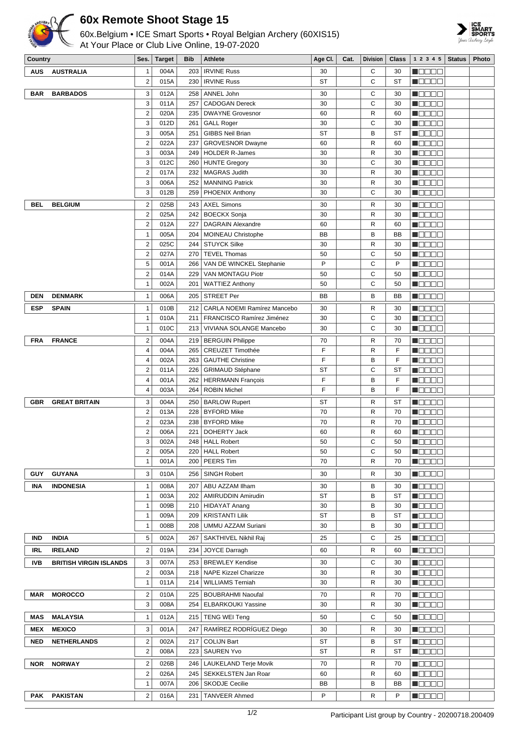

## **60x Remote Shoot Stage 15**

60x.Belgium • ICE Smart Sports • Royal Belgian Archery (60XIS15) At Your Place or Club Live Online, 19-07-2020



| <b>IRVINE Russ</b><br>С<br><b>AUS</b><br><b>AUSTRALIA</b><br>$\mathbf{1}$<br>004A<br>203<br>30<br>30<br>$\overline{\mathbf{c}}$<br>C<br>015A<br>230<br><b>IRVINE Russ</b><br><b>ST</b><br><b>ST</b><br>3<br>012A<br>С<br><b>BAR</b><br><b>BARBADOS</b><br>258<br>ANNEL John<br>30<br>30<br>3<br>C<br>011A<br>257<br>30<br><b>CADOGAN Dereck</b><br>30<br>$\overline{2}$<br>$\mathsf{R}$<br>020A<br>235<br><b>DWAYNE Grovesnor</b><br>60<br>60<br>C<br>3<br>012D<br><b>GALL Roger</b><br>261<br>30<br>30<br><b>GIBBS Neil Brian</b><br>B<br>3<br>005A<br>251<br><b>ST</b><br><b>ST</b><br>$\overline{2}$<br>R<br>022A<br>237<br><b>GROVESNOR Dwayne</b><br>60<br>60<br>3<br><b>HOLDER R-James</b><br>30<br>R<br>003A<br>249<br>30<br>3<br>C<br>012C<br><b>HUNTE Gregory</b><br>260<br>30<br>30<br>$\overline{2}$<br>017A<br>232<br><b>MAGRAS Judith</b><br>30<br>R<br>30<br>3<br>006A<br>30<br>R<br>252   MANNING Patrick<br>30<br>3<br>C<br>012B<br><b>PHOENIX Anthony</b><br>30<br>259<br>30<br>$\overline{2}$<br>025B<br><b>AXEL Simons</b><br>243<br>30<br>R<br><b>BEL</b><br><b>BELGIUM</b><br>30<br>$\mathbf 2$<br>R<br>025A<br>242<br><b>BOECKX Sonja</b><br>30<br>30<br>$\sqrt{2}$<br>$\mathsf{R}$<br>012A<br>227<br><b>DAGRAIN Alexandre</b><br>60<br>60<br>B<br>$\mathbf{1}$<br>005A<br>204<br>BB<br><b>BB</b><br><b>MOINEAU Christophe</b><br>$\overline{2}$<br>025C<br><b>STUYCK Silke</b><br>R<br><b>M</b> OOOO<br>244<br>30<br>30<br>$\overline{2}$<br>C<br>N O D O O<br>027A<br>270<br><b>TEVEL Thomas</b><br>50<br>50<br>C<br>5<br>P<br>P<br>001A<br>VAN DE WINCKEL Stephanie<br>N E E E E<br>266<br>$\overline{\mathbf{c}}$<br>C<br>50<br>014A<br>229<br>VAN MONTAGU Piotr<br>50<br>M O O O O<br>С<br>1<br>002A<br>201<br><b>WATTIEZ Anthony</b><br>50<br><b>REBEE</b><br>50<br><b>DENMARK</b><br>006A<br><b>STREET Per</b><br><b>BB</b><br>B<br><b>DEN</b><br>$\mathbf{1}$<br>205<br>BB<br>010B<br>CARLA NOEMI Ramírez Mancebo<br>R<br><b>ESP</b><br><b>SPAIN</b><br>1<br>212<br>30<br>30<br>C<br>$\mathbf{1}$<br>010A<br>30<br>211<br>FRANCISCO Ramírez Jiménez<br>30<br>C<br>$\mathbf{1}$<br>010C<br>VIVIANA SOLANGE Mancebo<br>30<br>213<br>30<br><b>FRANCE</b><br>$\overline{2}$<br><b>FRA</b><br>004A<br><b>BERGUIN Philippe</b><br>70<br>R<br>70<br>219<br>F<br>$\mathsf{R}$<br>F<br>4<br>004A<br>265<br><b>CREUZET Timothée</b><br>F<br>F<br>$\overline{4}$<br>002A<br>263<br>В<br><b>GAUTHE Christine</b><br>C<br>$\overline{\mathbf{c}}$<br><b>ST</b><br>011A<br><b>ST</b><br>226   GRIMAUD Stéphane<br>F<br>F<br>B<br>4<br>001A<br>262<br><b>HERRMANN François</b><br>F<br>B<br>F<br>4<br>003A<br>264<br><b>ROBIN Michel</b><br>3<br>004A<br><b>ST</b><br><b>GREAT BRITAIN</b><br>250<br><b>BARLOW Rupert</b><br>ST<br>R<br>GBR<br>$\overline{\mathbf{c}}$<br>70<br>$\mathsf{R}$<br>013A<br>228<br><b>BYFORD Mike</b><br>70<br>$\overline{2}$<br>023A<br><b>BYFORD Mike</b><br>70<br>R<br>238<br>70<br>$\overline{2}$<br>R<br>006A<br>221<br>DOHERTY Jack<br>60<br>60<br>Ċ<br>3<br>002A<br>248   HALL Robert<br>50<br>50<br>2<br>005A<br>220   HALL Robert<br>50<br>С<br>50<br>70<br>R<br>$\mathbf{1}$<br>PEERS Tim<br>70<br>001A<br>200<br>3<br><b>GUY</b><br><b>GUYANA</b><br>010A<br>256<br><b>SINGH Robert</b><br>30<br>R<br>30<br>$\mathbf{1}$<br>008A<br>207<br>ABU AZZAM Ilham<br>B<br><b>INDONESIA</b><br>30<br>30<br>INA<br><b>ST</b><br>B<br>$\mathbf{1}$<br>003A<br>202   AMIRUDDIN Amirudin<br><b>ST</b><br>B<br>009B<br>210 HIDAYAT Anang<br>30<br>1<br>30<br><b>ST</b><br>B<br>$\mathbf{1}$<br>009A<br>209<br><b>KRISTANTI Lilik</b><br><b>ST</b><br>B<br>008B<br>UMMU AZZAM Suriani<br>30<br>1<br>208<br>30<br><b>IND</b><br><b>INDIA</b><br>5<br>002A<br>SAKTHIVEL Nikhil Raj<br>С<br>267<br>25<br>25<br>$\mathbf 2$<br><b>IRELAND</b><br>019A<br>234<br>JOYCE Darragh<br>R<br>IRL<br>60<br>60<br>253   BREWLEY Kendise<br>C<br><b>Maaaa</b><br><b>IVB</b><br><b>BRITISH VIRGIN ISLANDS</b><br>3<br>007A<br>30<br>30<br>$\mathbf 2$<br>R<br>003A<br>218   NAPE Kizzel Charizze<br>30<br>30<br>011A<br><b>WILLIAMS Terniah</b><br>R<br>1<br>214<br>30<br>30<br>$\mathbf 2$<br><b>MOROCCO</b><br>010A<br>225   BOUBRAHMI Naoufal<br>70<br>R<br>MAR<br>70<br>NOOOC<br>3<br>008A<br>254   ELBARKOUKI Yassine<br>30<br>R<br><b>NODDD</b><br>30<br><b>MALAYSIA</b><br>215   TENG WEI Teng<br>50<br>C<br><b>MAS</b><br>$\mathbf{1}$<br>012A<br>50<br>RAMÍREZ RODRÍGUEZ Diego<br><b>MEX</b><br><b>MEXICO</b><br>3<br>001A<br>247<br>R<br>30<br>30<br>$\overline{c}$<br><b>NED</b><br><b>NETHERLANDS</b><br>002A<br>217<br><b>COLIJN Bart</b><br>ST<br>В<br><b>ST</b><br>$\overline{\mathbf{c}}$<br><b>ST</b><br>008A<br>223   SAUREN Yvo<br>R<br><b>ST</b><br><b>NORWAY</b><br>$\mathbf 2$<br>R<br><b>NOR</b><br>026B<br>246   LAUKELAND Terje Movik<br>70<br>70<br>$\mathbf 2$<br>026A<br>245   SEKKELSTEN Jan Roar<br>60<br>R<br>60<br>B<br>$\mathbf{1}$<br>007A<br>BB<br>206   SKODJE Cecilie<br>BB | Country    |                 | Ses.                    | Target | Bib | <b>Athlete</b> | Age Cl. | Cat. | <b>Division</b> | Class | $1\ 2\ 3\ 4\ 5$ Status | <b>Photo</b> |
|-------------------------------------------------------------------------------------------------------------------------------------------------------------------------------------------------------------------------------------------------------------------------------------------------------------------------------------------------------------------------------------------------------------------------------------------------------------------------------------------------------------------------------------------------------------------------------------------------------------------------------------------------------------------------------------------------------------------------------------------------------------------------------------------------------------------------------------------------------------------------------------------------------------------------------------------------------------------------------------------------------------------------------------------------------------------------------------------------------------------------------------------------------------------------------------------------------------------------------------------------------------------------------------------------------------------------------------------------------------------------------------------------------------------------------------------------------------------------------------------------------------------------------------------------------------------------------------------------------------------------------------------------------------------------------------------------------------------------------------------------------------------------------------------------------------------------------------------------------------------------------------------------------------------------------------------------------------------------------------------------------------------------------------------------------------------------------------------------------------------------------------------------------------------------------------------------------------------------------------------------------------------------------------------------------------------------------------------------------------------------------------------------------------------------------------------------------------------------------------------------------------------------------------------------------------------------------------------------------------------------------------------------------------------------------------------------------------------------------------------------------------------------------------------------------------------------------------------------------------------------------------------------------------------------------------------------------------------------------------------------------------------------------------------------------------------------------------------------------------------------------------------------------------------------------------------------------------------------------------------------------------------------------------------------------------------------------------------------------------------------------------------------------------------------------------------------------------------------------------------------------------------------------------------------------------------------------------------------------------------------------------------------------------------------------------------------------------------------------------------------------------------------------------------------------------------------------------------------------------------------------------------------------------------------------------------------------------------------------------------------------------------------------------------------------------------------------------------------------------------------------------------------------------------------------------------------------------------------------------------------------------------------------------------------------------------------------------------------------------------------------------------------------------------------------------------------------------------------------------------------------------------------------------------------------------------------------------------------------------------------------------------------------------------------------------------------------------------------------------------------------------------------------------------------------------------------------------------------------------------------------------------------------------------------------------------|------------|-----------------|-------------------------|--------|-----|----------------|---------|------|-----------------|-------|------------------------|--------------|
|                                                                                                                                                                                                                                                                                                                                                                                                                                                                                                                                                                                                                                                                                                                                                                                                                                                                                                                                                                                                                                                                                                                                                                                                                                                                                                                                                                                                                                                                                                                                                                                                                                                                                                                                                                                                                                                                                                                                                                                                                                                                                                                                                                                                                                                                                                                                                                                                                                                                                                                                                                                                                                                                                                                                                                                                                                                                                                                                                                                                                                                                                                                                                                                                                                                                                                                                                                                                                                                                                                                                                                                                                                                                                                                                                                                                                                                                                                                                                                                                                                                                                                                                                                                                                                                                                                                                                                                                                                                                                                                                                                                                                                                                                                                                                                                                                                                                                                                                           |            |                 |                         |        |     |                |         |      |                 |       | N 88 86                |              |
|                                                                                                                                                                                                                                                                                                                                                                                                                                                                                                                                                                                                                                                                                                                                                                                                                                                                                                                                                                                                                                                                                                                                                                                                                                                                                                                                                                                                                                                                                                                                                                                                                                                                                                                                                                                                                                                                                                                                                                                                                                                                                                                                                                                                                                                                                                                                                                                                                                                                                                                                                                                                                                                                                                                                                                                                                                                                                                                                                                                                                                                                                                                                                                                                                                                                                                                                                                                                                                                                                                                                                                                                                                                                                                                                                                                                                                                                                                                                                                                                                                                                                                                                                                                                                                                                                                                                                                                                                                                                                                                                                                                                                                                                                                                                                                                                                                                                                                                                           |            |                 |                         |        |     |                |         |      |                 |       | MOOOO                  |              |
|                                                                                                                                                                                                                                                                                                                                                                                                                                                                                                                                                                                                                                                                                                                                                                                                                                                                                                                                                                                                                                                                                                                                                                                                                                                                                                                                                                                                                                                                                                                                                                                                                                                                                                                                                                                                                                                                                                                                                                                                                                                                                                                                                                                                                                                                                                                                                                                                                                                                                                                                                                                                                                                                                                                                                                                                                                                                                                                                                                                                                                                                                                                                                                                                                                                                                                                                                                                                                                                                                                                                                                                                                                                                                                                                                                                                                                                                                                                                                                                                                                                                                                                                                                                                                                                                                                                                                                                                                                                                                                                                                                                                                                                                                                                                                                                                                                                                                                                                           |            |                 |                         |        |     |                |         |      |                 |       | HEEEE                  |              |
|                                                                                                                                                                                                                                                                                                                                                                                                                                                                                                                                                                                                                                                                                                                                                                                                                                                                                                                                                                                                                                                                                                                                                                                                                                                                                                                                                                                                                                                                                                                                                                                                                                                                                                                                                                                                                                                                                                                                                                                                                                                                                                                                                                                                                                                                                                                                                                                                                                                                                                                                                                                                                                                                                                                                                                                                                                                                                                                                                                                                                                                                                                                                                                                                                                                                                                                                                                                                                                                                                                                                                                                                                                                                                                                                                                                                                                                                                                                                                                                                                                                                                                                                                                                                                                                                                                                                                                                                                                                                                                                                                                                                                                                                                                                                                                                                                                                                                                                                           |            |                 |                         |        |     |                |         |      |                 |       | NOOOO                  |              |
|                                                                                                                                                                                                                                                                                                                                                                                                                                                                                                                                                                                                                                                                                                                                                                                                                                                                                                                                                                                                                                                                                                                                                                                                                                                                                                                                                                                                                                                                                                                                                                                                                                                                                                                                                                                                                                                                                                                                                                                                                                                                                                                                                                                                                                                                                                                                                                                                                                                                                                                                                                                                                                                                                                                                                                                                                                                                                                                                                                                                                                                                                                                                                                                                                                                                                                                                                                                                                                                                                                                                                                                                                                                                                                                                                                                                                                                                                                                                                                                                                                                                                                                                                                                                                                                                                                                                                                                                                                                                                                                                                                                                                                                                                                                                                                                                                                                                                                                                           |            |                 |                         |        |     |                |         |      |                 |       | n oo oo a              |              |
|                                                                                                                                                                                                                                                                                                                                                                                                                                                                                                                                                                                                                                                                                                                                                                                                                                                                                                                                                                                                                                                                                                                                                                                                                                                                                                                                                                                                                                                                                                                                                                                                                                                                                                                                                                                                                                                                                                                                                                                                                                                                                                                                                                                                                                                                                                                                                                                                                                                                                                                                                                                                                                                                                                                                                                                                                                                                                                                                                                                                                                                                                                                                                                                                                                                                                                                                                                                                                                                                                                                                                                                                                                                                                                                                                                                                                                                                                                                                                                                                                                                                                                                                                                                                                                                                                                                                                                                                                                                                                                                                                                                                                                                                                                                                                                                                                                                                                                                                           |            |                 |                         |        |     |                |         |      |                 |       | N B B B E              |              |
|                                                                                                                                                                                                                                                                                                                                                                                                                                                                                                                                                                                                                                                                                                                                                                                                                                                                                                                                                                                                                                                                                                                                                                                                                                                                                                                                                                                                                                                                                                                                                                                                                                                                                                                                                                                                                                                                                                                                                                                                                                                                                                                                                                                                                                                                                                                                                                                                                                                                                                                                                                                                                                                                                                                                                                                                                                                                                                                                                                                                                                                                                                                                                                                                                                                                                                                                                                                                                                                                                                                                                                                                                                                                                                                                                                                                                                                                                                                                                                                                                                                                                                                                                                                                                                                                                                                                                                                                                                                                                                                                                                                                                                                                                                                                                                                                                                                                                                                                           |            |                 |                         |        |     |                |         |      |                 |       | M O O O O              |              |
|                                                                                                                                                                                                                                                                                                                                                                                                                                                                                                                                                                                                                                                                                                                                                                                                                                                                                                                                                                                                                                                                                                                                                                                                                                                                                                                                                                                                                                                                                                                                                                                                                                                                                                                                                                                                                                                                                                                                                                                                                                                                                                                                                                                                                                                                                                                                                                                                                                                                                                                                                                                                                                                                                                                                                                                                                                                                                                                                                                                                                                                                                                                                                                                                                                                                                                                                                                                                                                                                                                                                                                                                                                                                                                                                                                                                                                                                                                                                                                                                                                                                                                                                                                                                                                                                                                                                                                                                                                                                                                                                                                                                                                                                                                                                                                                                                                                                                                                                           |            |                 |                         |        |     |                |         |      |                 |       | NOOOO                  |              |
|                                                                                                                                                                                                                                                                                                                                                                                                                                                                                                                                                                                                                                                                                                                                                                                                                                                                                                                                                                                                                                                                                                                                                                                                                                                                                                                                                                                                                                                                                                                                                                                                                                                                                                                                                                                                                                                                                                                                                                                                                                                                                                                                                                                                                                                                                                                                                                                                                                                                                                                                                                                                                                                                                                                                                                                                                                                                                                                                                                                                                                                                                                                                                                                                                                                                                                                                                                                                                                                                                                                                                                                                                                                                                                                                                                                                                                                                                                                                                                                                                                                                                                                                                                                                                                                                                                                                                                                                                                                                                                                                                                                                                                                                                                                                                                                                                                                                                                                                           |            |                 |                         |        |     |                |         |      |                 |       | N O D O O              |              |
|                                                                                                                                                                                                                                                                                                                                                                                                                                                                                                                                                                                                                                                                                                                                                                                                                                                                                                                                                                                                                                                                                                                                                                                                                                                                                                                                                                                                                                                                                                                                                                                                                                                                                                                                                                                                                                                                                                                                                                                                                                                                                                                                                                                                                                                                                                                                                                                                                                                                                                                                                                                                                                                                                                                                                                                                                                                                                                                                                                                                                                                                                                                                                                                                                                                                                                                                                                                                                                                                                                                                                                                                                                                                                                                                                                                                                                                                                                                                                                                                                                                                                                                                                                                                                                                                                                                                                                                                                                                                                                                                                                                                                                                                                                                                                                                                                                                                                                                                           |            |                 |                         |        |     |                |         |      |                 |       | n Elein                |              |
|                                                                                                                                                                                                                                                                                                                                                                                                                                                                                                                                                                                                                                                                                                                                                                                                                                                                                                                                                                                                                                                                                                                                                                                                                                                                                                                                                                                                                                                                                                                                                                                                                                                                                                                                                                                                                                                                                                                                                                                                                                                                                                                                                                                                                                                                                                                                                                                                                                                                                                                                                                                                                                                                                                                                                                                                                                                                                                                                                                                                                                                                                                                                                                                                                                                                                                                                                                                                                                                                                                                                                                                                                                                                                                                                                                                                                                                                                                                                                                                                                                                                                                                                                                                                                                                                                                                                                                                                                                                                                                                                                                                                                                                                                                                                                                                                                                                                                                                                           |            |                 |                         |        |     |                |         |      |                 |       | M O O O O              |              |
|                                                                                                                                                                                                                                                                                                                                                                                                                                                                                                                                                                                                                                                                                                                                                                                                                                                                                                                                                                                                                                                                                                                                                                                                                                                                                                                                                                                                                                                                                                                                                                                                                                                                                                                                                                                                                                                                                                                                                                                                                                                                                                                                                                                                                                                                                                                                                                                                                                                                                                                                                                                                                                                                                                                                                                                                                                                                                                                                                                                                                                                                                                                                                                                                                                                                                                                                                                                                                                                                                                                                                                                                                                                                                                                                                                                                                                                                                                                                                                                                                                                                                                                                                                                                                                                                                                                                                                                                                                                                                                                                                                                                                                                                                                                                                                                                                                                                                                                                           |            |                 |                         |        |     |                |         |      |                 |       | n oo oo a              |              |
|                                                                                                                                                                                                                                                                                                                                                                                                                                                                                                                                                                                                                                                                                                                                                                                                                                                                                                                                                                                                                                                                                                                                                                                                                                                                                                                                                                                                                                                                                                                                                                                                                                                                                                                                                                                                                                                                                                                                                                                                                                                                                                                                                                                                                                                                                                                                                                                                                                                                                                                                                                                                                                                                                                                                                                                                                                                                                                                                                                                                                                                                                                                                                                                                                                                                                                                                                                                                                                                                                                                                                                                                                                                                                                                                                                                                                                                                                                                                                                                                                                                                                                                                                                                                                                                                                                                                                                                                                                                                                                                                                                                                                                                                                                                                                                                                                                                                                                                                           |            |                 |                         |        |     |                |         |      |                 |       | M S S S S              |              |
|                                                                                                                                                                                                                                                                                                                                                                                                                                                                                                                                                                                                                                                                                                                                                                                                                                                                                                                                                                                                                                                                                                                                                                                                                                                                                                                                                                                                                                                                                                                                                                                                                                                                                                                                                                                                                                                                                                                                                                                                                                                                                                                                                                                                                                                                                                                                                                                                                                                                                                                                                                                                                                                                                                                                                                                                                                                                                                                                                                                                                                                                                                                                                                                                                                                                                                                                                                                                                                                                                                                                                                                                                                                                                                                                                                                                                                                                                                                                                                                                                                                                                                                                                                                                                                                                                                                                                                                                                                                                                                                                                                                                                                                                                                                                                                                                                                                                                                                                           |            |                 |                         |        |     |                |         |      |                 |       | N E E E E              |              |
|                                                                                                                                                                                                                                                                                                                                                                                                                                                                                                                                                                                                                                                                                                                                                                                                                                                                                                                                                                                                                                                                                                                                                                                                                                                                                                                                                                                                                                                                                                                                                                                                                                                                                                                                                                                                                                                                                                                                                                                                                                                                                                                                                                                                                                                                                                                                                                                                                                                                                                                                                                                                                                                                                                                                                                                                                                                                                                                                                                                                                                                                                                                                                                                                                                                                                                                                                                                                                                                                                                                                                                                                                                                                                                                                                                                                                                                                                                                                                                                                                                                                                                                                                                                                                                                                                                                                                                                                                                                                                                                                                                                                                                                                                                                                                                                                                                                                                                                                           |            |                 |                         |        |     |                |         |      |                 |       |                        |              |
|                                                                                                                                                                                                                                                                                                                                                                                                                                                                                                                                                                                                                                                                                                                                                                                                                                                                                                                                                                                                                                                                                                                                                                                                                                                                                                                                                                                                                                                                                                                                                                                                                                                                                                                                                                                                                                                                                                                                                                                                                                                                                                                                                                                                                                                                                                                                                                                                                                                                                                                                                                                                                                                                                                                                                                                                                                                                                                                                                                                                                                                                                                                                                                                                                                                                                                                                                                                                                                                                                                                                                                                                                                                                                                                                                                                                                                                                                                                                                                                                                                                                                                                                                                                                                                                                                                                                                                                                                                                                                                                                                                                                                                                                                                                                                                                                                                                                                                                                           |            |                 |                         |        |     |                |         |      |                 |       | N DE DE                |              |
|                                                                                                                                                                                                                                                                                                                                                                                                                                                                                                                                                                                                                                                                                                                                                                                                                                                                                                                                                                                                                                                                                                                                                                                                                                                                                                                                                                                                                                                                                                                                                                                                                                                                                                                                                                                                                                                                                                                                                                                                                                                                                                                                                                                                                                                                                                                                                                                                                                                                                                                                                                                                                                                                                                                                                                                                                                                                                                                                                                                                                                                                                                                                                                                                                                                                                                                                                                                                                                                                                                                                                                                                                                                                                                                                                                                                                                                                                                                                                                                                                                                                                                                                                                                                                                                                                                                                                                                                                                                                                                                                                                                                                                                                                                                                                                                                                                                                                                                                           |            |                 |                         |        |     |                |         |      |                 |       | N E E E E              |              |
|                                                                                                                                                                                                                                                                                                                                                                                                                                                                                                                                                                                                                                                                                                                                                                                                                                                                                                                                                                                                                                                                                                                                                                                                                                                                                                                                                                                                                                                                                                                                                                                                                                                                                                                                                                                                                                                                                                                                                                                                                                                                                                                                                                                                                                                                                                                                                                                                                                                                                                                                                                                                                                                                                                                                                                                                                                                                                                                                                                                                                                                                                                                                                                                                                                                                                                                                                                                                                                                                                                                                                                                                                                                                                                                                                                                                                                                                                                                                                                                                                                                                                                                                                                                                                                                                                                                                                                                                                                                                                                                                                                                                                                                                                                                                                                                                                                                                                                                                           |            |                 |                         |        |     |                |         |      |                 |       |                        |              |
|                                                                                                                                                                                                                                                                                                                                                                                                                                                                                                                                                                                                                                                                                                                                                                                                                                                                                                                                                                                                                                                                                                                                                                                                                                                                                                                                                                                                                                                                                                                                                                                                                                                                                                                                                                                                                                                                                                                                                                                                                                                                                                                                                                                                                                                                                                                                                                                                                                                                                                                                                                                                                                                                                                                                                                                                                                                                                                                                                                                                                                                                                                                                                                                                                                                                                                                                                                                                                                                                                                                                                                                                                                                                                                                                                                                                                                                                                                                                                                                                                                                                                                                                                                                                                                                                                                                                                                                                                                                                                                                                                                                                                                                                                                                                                                                                                                                                                                                                           |            |                 |                         |        |     |                |         |      |                 |       |                        |              |
|                                                                                                                                                                                                                                                                                                                                                                                                                                                                                                                                                                                                                                                                                                                                                                                                                                                                                                                                                                                                                                                                                                                                                                                                                                                                                                                                                                                                                                                                                                                                                                                                                                                                                                                                                                                                                                                                                                                                                                                                                                                                                                                                                                                                                                                                                                                                                                                                                                                                                                                                                                                                                                                                                                                                                                                                                                                                                                                                                                                                                                                                                                                                                                                                                                                                                                                                                                                                                                                                                                                                                                                                                                                                                                                                                                                                                                                                                                                                                                                                                                                                                                                                                                                                                                                                                                                                                                                                                                                                                                                                                                                                                                                                                                                                                                                                                                                                                                                                           |            |                 |                         |        |     |                |         |      |                 |       |                        |              |
|                                                                                                                                                                                                                                                                                                                                                                                                                                                                                                                                                                                                                                                                                                                                                                                                                                                                                                                                                                                                                                                                                                                                                                                                                                                                                                                                                                                                                                                                                                                                                                                                                                                                                                                                                                                                                                                                                                                                                                                                                                                                                                                                                                                                                                                                                                                                                                                                                                                                                                                                                                                                                                                                                                                                                                                                                                                                                                                                                                                                                                                                                                                                                                                                                                                                                                                                                                                                                                                                                                                                                                                                                                                                                                                                                                                                                                                                                                                                                                                                                                                                                                                                                                                                                                                                                                                                                                                                                                                                                                                                                                                                                                                                                                                                                                                                                                                                                                                                           |            |                 |                         |        |     |                |         |      |                 |       |                        |              |
|                                                                                                                                                                                                                                                                                                                                                                                                                                                                                                                                                                                                                                                                                                                                                                                                                                                                                                                                                                                                                                                                                                                                                                                                                                                                                                                                                                                                                                                                                                                                                                                                                                                                                                                                                                                                                                                                                                                                                                                                                                                                                                                                                                                                                                                                                                                                                                                                                                                                                                                                                                                                                                                                                                                                                                                                                                                                                                                                                                                                                                                                                                                                                                                                                                                                                                                                                                                                                                                                                                                                                                                                                                                                                                                                                                                                                                                                                                                                                                                                                                                                                                                                                                                                                                                                                                                                                                                                                                                                                                                                                                                                                                                                                                                                                                                                                                                                                                                                           |            |                 |                         |        |     |                |         |      |                 |       |                        |              |
|                                                                                                                                                                                                                                                                                                                                                                                                                                                                                                                                                                                                                                                                                                                                                                                                                                                                                                                                                                                                                                                                                                                                                                                                                                                                                                                                                                                                                                                                                                                                                                                                                                                                                                                                                                                                                                                                                                                                                                                                                                                                                                                                                                                                                                                                                                                                                                                                                                                                                                                                                                                                                                                                                                                                                                                                                                                                                                                                                                                                                                                                                                                                                                                                                                                                                                                                                                                                                                                                                                                                                                                                                                                                                                                                                                                                                                                                                                                                                                                                                                                                                                                                                                                                                                                                                                                                                                                                                                                                                                                                                                                                                                                                                                                                                                                                                                                                                                                                           |            |                 |                         |        |     |                |         |      |                 |       | M O O O O              |              |
|                                                                                                                                                                                                                                                                                                                                                                                                                                                                                                                                                                                                                                                                                                                                                                                                                                                                                                                                                                                                                                                                                                                                                                                                                                                                                                                                                                                                                                                                                                                                                                                                                                                                                                                                                                                                                                                                                                                                                                                                                                                                                                                                                                                                                                                                                                                                                                                                                                                                                                                                                                                                                                                                                                                                                                                                                                                                                                                                                                                                                                                                                                                                                                                                                                                                                                                                                                                                                                                                                                                                                                                                                                                                                                                                                                                                                                                                                                                                                                                                                                                                                                                                                                                                                                                                                                                                                                                                                                                                                                                                                                                                                                                                                                                                                                                                                                                                                                                                           |            |                 |                         |        |     |                |         |      |                 |       | N E E E E              |              |
|                                                                                                                                                                                                                                                                                                                                                                                                                                                                                                                                                                                                                                                                                                                                                                                                                                                                                                                                                                                                                                                                                                                                                                                                                                                                                                                                                                                                                                                                                                                                                                                                                                                                                                                                                                                                                                                                                                                                                                                                                                                                                                                                                                                                                                                                                                                                                                                                                                                                                                                                                                                                                                                                                                                                                                                                                                                                                                                                                                                                                                                                                                                                                                                                                                                                                                                                                                                                                                                                                                                                                                                                                                                                                                                                                                                                                                                                                                                                                                                                                                                                                                                                                                                                                                                                                                                                                                                                                                                                                                                                                                                                                                                                                                                                                                                                                                                                                                                                           |            |                 |                         |        |     |                |         |      |                 |       | NOOOO                  |              |
|                                                                                                                                                                                                                                                                                                                                                                                                                                                                                                                                                                                                                                                                                                                                                                                                                                                                                                                                                                                                                                                                                                                                                                                                                                                                                                                                                                                                                                                                                                                                                                                                                                                                                                                                                                                                                                                                                                                                                                                                                                                                                                                                                                                                                                                                                                                                                                                                                                                                                                                                                                                                                                                                                                                                                                                                                                                                                                                                                                                                                                                                                                                                                                                                                                                                                                                                                                                                                                                                                                                                                                                                                                                                                                                                                                                                                                                                                                                                                                                                                                                                                                                                                                                                                                                                                                                                                                                                                                                                                                                                                                                                                                                                                                                                                                                                                                                                                                                                           |            |                 |                         |        |     |                |         |      |                 |       | <u>ka sa sa</u>        |              |
|                                                                                                                                                                                                                                                                                                                                                                                                                                                                                                                                                                                                                                                                                                                                                                                                                                                                                                                                                                                                                                                                                                                                                                                                                                                                                                                                                                                                                                                                                                                                                                                                                                                                                                                                                                                                                                                                                                                                                                                                                                                                                                                                                                                                                                                                                                                                                                                                                                                                                                                                                                                                                                                                                                                                                                                                                                                                                                                                                                                                                                                                                                                                                                                                                                                                                                                                                                                                                                                                                                                                                                                                                                                                                                                                                                                                                                                                                                                                                                                                                                                                                                                                                                                                                                                                                                                                                                                                                                                                                                                                                                                                                                                                                                                                                                                                                                                                                                                                           |            |                 |                         |        |     |                |         |      |                 |       | n oo o o               |              |
|                                                                                                                                                                                                                                                                                                                                                                                                                                                                                                                                                                                                                                                                                                                                                                                                                                                                                                                                                                                                                                                                                                                                                                                                                                                                                                                                                                                                                                                                                                                                                                                                                                                                                                                                                                                                                                                                                                                                                                                                                                                                                                                                                                                                                                                                                                                                                                                                                                                                                                                                                                                                                                                                                                                                                                                                                                                                                                                                                                                                                                                                                                                                                                                                                                                                                                                                                                                                                                                                                                                                                                                                                                                                                                                                                                                                                                                                                                                                                                                                                                                                                                                                                                                                                                                                                                                                                                                                                                                                                                                                                                                                                                                                                                                                                                                                                                                                                                                                           |            |                 |                         |        |     |                |         |      |                 |       |                        |              |
|                                                                                                                                                                                                                                                                                                                                                                                                                                                                                                                                                                                                                                                                                                                                                                                                                                                                                                                                                                                                                                                                                                                                                                                                                                                                                                                                                                                                                                                                                                                                                                                                                                                                                                                                                                                                                                                                                                                                                                                                                                                                                                                                                                                                                                                                                                                                                                                                                                                                                                                                                                                                                                                                                                                                                                                                                                                                                                                                                                                                                                                                                                                                                                                                                                                                                                                                                                                                                                                                                                                                                                                                                                                                                                                                                                                                                                                                                                                                                                                                                                                                                                                                                                                                                                                                                                                                                                                                                                                                                                                                                                                                                                                                                                                                                                                                                                                                                                                                           |            |                 |                         |        |     |                |         |      |                 |       | N DE DE                |              |
|                                                                                                                                                                                                                                                                                                                                                                                                                                                                                                                                                                                                                                                                                                                                                                                                                                                                                                                                                                                                                                                                                                                                                                                                                                                                                                                                                                                                                                                                                                                                                                                                                                                                                                                                                                                                                                                                                                                                                                                                                                                                                                                                                                                                                                                                                                                                                                                                                                                                                                                                                                                                                                                                                                                                                                                                                                                                                                                                                                                                                                                                                                                                                                                                                                                                                                                                                                                                                                                                                                                                                                                                                                                                                                                                                                                                                                                                                                                                                                                                                                                                                                                                                                                                                                                                                                                                                                                                                                                                                                                                                                                                                                                                                                                                                                                                                                                                                                                                           |            |                 |                         |        |     |                |         |      |                 |       | N E E E E              |              |
|                                                                                                                                                                                                                                                                                                                                                                                                                                                                                                                                                                                                                                                                                                                                                                                                                                                                                                                                                                                                                                                                                                                                                                                                                                                                                                                                                                                                                                                                                                                                                                                                                                                                                                                                                                                                                                                                                                                                                                                                                                                                                                                                                                                                                                                                                                                                                                                                                                                                                                                                                                                                                                                                                                                                                                                                                                                                                                                                                                                                                                                                                                                                                                                                                                                                                                                                                                                                                                                                                                                                                                                                                                                                                                                                                                                                                                                                                                                                                                                                                                                                                                                                                                                                                                                                                                                                                                                                                                                                                                                                                                                                                                                                                                                                                                                                                                                                                                                                           |            |                 |                         |        |     |                |         |      |                 |       | MOOOO                  |              |
|                                                                                                                                                                                                                                                                                                                                                                                                                                                                                                                                                                                                                                                                                                                                                                                                                                                                                                                                                                                                                                                                                                                                                                                                                                                                                                                                                                                                                                                                                                                                                                                                                                                                                                                                                                                                                                                                                                                                                                                                                                                                                                                                                                                                                                                                                                                                                                                                                                                                                                                                                                                                                                                                                                                                                                                                                                                                                                                                                                                                                                                                                                                                                                                                                                                                                                                                                                                                                                                                                                                                                                                                                                                                                                                                                                                                                                                                                                                                                                                                                                                                                                                                                                                                                                                                                                                                                                                                                                                                                                                                                                                                                                                                                                                                                                                                                                                                                                                                           |            |                 |                         |        |     |                |         |      |                 |       | N O D O O              |              |
|                                                                                                                                                                                                                                                                                                                                                                                                                                                                                                                                                                                                                                                                                                                                                                                                                                                                                                                                                                                                                                                                                                                                                                                                                                                                                                                                                                                                                                                                                                                                                                                                                                                                                                                                                                                                                                                                                                                                                                                                                                                                                                                                                                                                                                                                                                                                                                                                                                                                                                                                                                                                                                                                                                                                                                                                                                                                                                                                                                                                                                                                                                                                                                                                                                                                                                                                                                                                                                                                                                                                                                                                                                                                                                                                                                                                                                                                                                                                                                                                                                                                                                                                                                                                                                                                                                                                                                                                                                                                                                                                                                                                                                                                                                                                                                                                                                                                                                                                           |            |                 |                         |        |     |                |         |      |                 |       | N E E E E              |              |
|                                                                                                                                                                                                                                                                                                                                                                                                                                                                                                                                                                                                                                                                                                                                                                                                                                                                                                                                                                                                                                                                                                                                                                                                                                                                                                                                                                                                                                                                                                                                                                                                                                                                                                                                                                                                                                                                                                                                                                                                                                                                                                                                                                                                                                                                                                                                                                                                                                                                                                                                                                                                                                                                                                                                                                                                                                                                                                                                                                                                                                                                                                                                                                                                                                                                                                                                                                                                                                                                                                                                                                                                                                                                                                                                                                                                                                                                                                                                                                                                                                                                                                                                                                                                                                                                                                                                                                                                                                                                                                                                                                                                                                                                                                                                                                                                                                                                                                                                           |            |                 |                         |        |     |                |         |      |                 |       | N E E E E              |              |
|                                                                                                                                                                                                                                                                                                                                                                                                                                                                                                                                                                                                                                                                                                                                                                                                                                                                                                                                                                                                                                                                                                                                                                                                                                                                                                                                                                                                                                                                                                                                                                                                                                                                                                                                                                                                                                                                                                                                                                                                                                                                                                                                                                                                                                                                                                                                                                                                                                                                                                                                                                                                                                                                                                                                                                                                                                                                                                                                                                                                                                                                                                                                                                                                                                                                                                                                                                                                                                                                                                                                                                                                                                                                                                                                                                                                                                                                                                                                                                                                                                                                                                                                                                                                                                                                                                                                                                                                                                                                                                                                                                                                                                                                                                                                                                                                                                                                                                                                           |            |                 |                         |        |     |                |         |      |                 |       | N DE DE                |              |
|                                                                                                                                                                                                                                                                                                                                                                                                                                                                                                                                                                                                                                                                                                                                                                                                                                                                                                                                                                                                                                                                                                                                                                                                                                                                                                                                                                                                                                                                                                                                                                                                                                                                                                                                                                                                                                                                                                                                                                                                                                                                                                                                                                                                                                                                                                                                                                                                                                                                                                                                                                                                                                                                                                                                                                                                                                                                                                                                                                                                                                                                                                                                                                                                                                                                                                                                                                                                                                                                                                                                                                                                                                                                                                                                                                                                                                                                                                                                                                                                                                                                                                                                                                                                                                                                                                                                                                                                                                                                                                                                                                                                                                                                                                                                                                                                                                                                                                                                           |            |                 |                         |        |     |                |         |      |                 |       | M O O O O              |              |
|                                                                                                                                                                                                                                                                                                                                                                                                                                                                                                                                                                                                                                                                                                                                                                                                                                                                                                                                                                                                                                                                                                                                                                                                                                                                                                                                                                                                                                                                                                                                                                                                                                                                                                                                                                                                                                                                                                                                                                                                                                                                                                                                                                                                                                                                                                                                                                                                                                                                                                                                                                                                                                                                                                                                                                                                                                                                                                                                                                                                                                                                                                                                                                                                                                                                                                                                                                                                                                                                                                                                                                                                                                                                                                                                                                                                                                                                                                                                                                                                                                                                                                                                                                                                                                                                                                                                                                                                                                                                                                                                                                                                                                                                                                                                                                                                                                                                                                                                           |            |                 |                         |        |     |                |         |      |                 |       | HOOOC                  |              |
|                                                                                                                                                                                                                                                                                                                                                                                                                                                                                                                                                                                                                                                                                                                                                                                                                                                                                                                                                                                                                                                                                                                                                                                                                                                                                                                                                                                                                                                                                                                                                                                                                                                                                                                                                                                                                                                                                                                                                                                                                                                                                                                                                                                                                                                                                                                                                                                                                                                                                                                                                                                                                                                                                                                                                                                                                                                                                                                                                                                                                                                                                                                                                                                                                                                                                                                                                                                                                                                                                                                                                                                                                                                                                                                                                                                                                                                                                                                                                                                                                                                                                                                                                                                                                                                                                                                                                                                                                                                                                                                                                                                                                                                                                                                                                                                                                                                                                                                                           |            |                 |                         |        |     |                |         |      |                 |       | <u> NEBER</u>          |              |
|                                                                                                                                                                                                                                                                                                                                                                                                                                                                                                                                                                                                                                                                                                                                                                                                                                                                                                                                                                                                                                                                                                                                                                                                                                                                                                                                                                                                                                                                                                                                                                                                                                                                                                                                                                                                                                                                                                                                                                                                                                                                                                                                                                                                                                                                                                                                                                                                                                                                                                                                                                                                                                                                                                                                                                                                                                                                                                                                                                                                                                                                                                                                                                                                                                                                                                                                                                                                                                                                                                                                                                                                                                                                                                                                                                                                                                                                                                                                                                                                                                                                                                                                                                                                                                                                                                                                                                                                                                                                                                                                                                                                                                                                                                                                                                                                                                                                                                                                           |            |                 |                         |        |     |                |         |      |                 |       | <u>Manas</u>           |              |
|                                                                                                                                                                                                                                                                                                                                                                                                                                                                                                                                                                                                                                                                                                                                                                                                                                                                                                                                                                                                                                                                                                                                                                                                                                                                                                                                                                                                                                                                                                                                                                                                                                                                                                                                                                                                                                                                                                                                                                                                                                                                                                                                                                                                                                                                                                                                                                                                                                                                                                                                                                                                                                                                                                                                                                                                                                                                                                                                                                                                                                                                                                                                                                                                                                                                                                                                                                                                                                                                                                                                                                                                                                                                                                                                                                                                                                                                                                                                                                                                                                                                                                                                                                                                                                                                                                                                                                                                                                                                                                                                                                                                                                                                                                                                                                                                                                                                                                                                           |            |                 |                         |        |     |                |         |      |                 |       | <b>HOOOO</b>           |              |
|                                                                                                                                                                                                                                                                                                                                                                                                                                                                                                                                                                                                                                                                                                                                                                                                                                                                                                                                                                                                                                                                                                                                                                                                                                                                                                                                                                                                                                                                                                                                                                                                                                                                                                                                                                                                                                                                                                                                                                                                                                                                                                                                                                                                                                                                                                                                                                                                                                                                                                                                                                                                                                                                                                                                                                                                                                                                                                                                                                                                                                                                                                                                                                                                                                                                                                                                                                                                                                                                                                                                                                                                                                                                                                                                                                                                                                                                                                                                                                                                                                                                                                                                                                                                                                                                                                                                                                                                                                                                                                                                                                                                                                                                                                                                                                                                                                                                                                                                           |            |                 |                         |        |     |                |         |      |                 |       | <b>M</b> OOOO          |              |
|                                                                                                                                                                                                                                                                                                                                                                                                                                                                                                                                                                                                                                                                                                                                                                                                                                                                                                                                                                                                                                                                                                                                                                                                                                                                                                                                                                                                                                                                                                                                                                                                                                                                                                                                                                                                                                                                                                                                                                                                                                                                                                                                                                                                                                                                                                                                                                                                                                                                                                                                                                                                                                                                                                                                                                                                                                                                                                                                                                                                                                                                                                                                                                                                                                                                                                                                                                                                                                                                                                                                                                                                                                                                                                                                                                                                                                                                                                                                                                                                                                                                                                                                                                                                                                                                                                                                                                                                                                                                                                                                                                                                                                                                                                                                                                                                                                                                                                                                           |            |                 |                         |        |     |                |         |      |                 |       | n de de                |              |
|                                                                                                                                                                                                                                                                                                                                                                                                                                                                                                                                                                                                                                                                                                                                                                                                                                                                                                                                                                                                                                                                                                                                                                                                                                                                                                                                                                                                                                                                                                                                                                                                                                                                                                                                                                                                                                                                                                                                                                                                                                                                                                                                                                                                                                                                                                                                                                                                                                                                                                                                                                                                                                                                                                                                                                                                                                                                                                                                                                                                                                                                                                                                                                                                                                                                                                                                                                                                                                                                                                                                                                                                                                                                                                                                                                                                                                                                                                                                                                                                                                                                                                                                                                                                                                                                                                                                                                                                                                                                                                                                                                                                                                                                                                                                                                                                                                                                                                                                           |            |                 |                         |        |     |                |         |      |                 |       | N E E E E              |              |
|                                                                                                                                                                                                                                                                                                                                                                                                                                                                                                                                                                                                                                                                                                                                                                                                                                                                                                                                                                                                                                                                                                                                                                                                                                                                                                                                                                                                                                                                                                                                                                                                                                                                                                                                                                                                                                                                                                                                                                                                                                                                                                                                                                                                                                                                                                                                                                                                                                                                                                                                                                                                                                                                                                                                                                                                                                                                                                                                                                                                                                                                                                                                                                                                                                                                                                                                                                                                                                                                                                                                                                                                                                                                                                                                                                                                                                                                                                                                                                                                                                                                                                                                                                                                                                                                                                                                                                                                                                                                                                                                                                                                                                                                                                                                                                                                                                                                                                                                           |            |                 |                         |        |     |                |         |      |                 |       | n Beel                 |              |
|                                                                                                                                                                                                                                                                                                                                                                                                                                                                                                                                                                                                                                                                                                                                                                                                                                                                                                                                                                                                                                                                                                                                                                                                                                                                                                                                                                                                                                                                                                                                                                                                                                                                                                                                                                                                                                                                                                                                                                                                                                                                                                                                                                                                                                                                                                                                                                                                                                                                                                                                                                                                                                                                                                                                                                                                                                                                                                                                                                                                                                                                                                                                                                                                                                                                                                                                                                                                                                                                                                                                                                                                                                                                                                                                                                                                                                                                                                                                                                                                                                                                                                                                                                                                                                                                                                                                                                                                                                                                                                                                                                                                                                                                                                                                                                                                                                                                                                                                           |            |                 |                         |        |     |                |         |      |                 |       | <b>MODOO</b>           |              |
|                                                                                                                                                                                                                                                                                                                                                                                                                                                                                                                                                                                                                                                                                                                                                                                                                                                                                                                                                                                                                                                                                                                                                                                                                                                                                                                                                                                                                                                                                                                                                                                                                                                                                                                                                                                                                                                                                                                                                                                                                                                                                                                                                                                                                                                                                                                                                                                                                                                                                                                                                                                                                                                                                                                                                                                                                                                                                                                                                                                                                                                                                                                                                                                                                                                                                                                                                                                                                                                                                                                                                                                                                                                                                                                                                                                                                                                                                                                                                                                                                                                                                                                                                                                                                                                                                                                                                                                                                                                                                                                                                                                                                                                                                                                                                                                                                                                                                                                                           |            |                 |                         |        |     |                |         |      |                 |       | MOOOO                  |              |
|                                                                                                                                                                                                                                                                                                                                                                                                                                                                                                                                                                                                                                                                                                                                                                                                                                                                                                                                                                                                                                                                                                                                                                                                                                                                                                                                                                                                                                                                                                                                                                                                                                                                                                                                                                                                                                                                                                                                                                                                                                                                                                                                                                                                                                                                                                                                                                                                                                                                                                                                                                                                                                                                                                                                                                                                                                                                                                                                                                                                                                                                                                                                                                                                                                                                                                                                                                                                                                                                                                                                                                                                                                                                                                                                                                                                                                                                                                                                                                                                                                                                                                                                                                                                                                                                                                                                                                                                                                                                                                                                                                                                                                                                                                                                                                                                                                                                                                                                           |            |                 |                         |        |     |                |         |      |                 |       | 80000                  |              |
|                                                                                                                                                                                                                                                                                                                                                                                                                                                                                                                                                                                                                                                                                                                                                                                                                                                                                                                                                                                                                                                                                                                                                                                                                                                                                                                                                                                                                                                                                                                                                                                                                                                                                                                                                                                                                                                                                                                                                                                                                                                                                                                                                                                                                                                                                                                                                                                                                                                                                                                                                                                                                                                                                                                                                                                                                                                                                                                                                                                                                                                                                                                                                                                                                                                                                                                                                                                                                                                                                                                                                                                                                                                                                                                                                                                                                                                                                                                                                                                                                                                                                                                                                                                                                                                                                                                                                                                                                                                                                                                                                                                                                                                                                                                                                                                                                                                                                                                                           |            |                 |                         |        |     |                |         |      |                 |       |                        |              |
|                                                                                                                                                                                                                                                                                                                                                                                                                                                                                                                                                                                                                                                                                                                                                                                                                                                                                                                                                                                                                                                                                                                                                                                                                                                                                                                                                                                                                                                                                                                                                                                                                                                                                                                                                                                                                                                                                                                                                                                                                                                                                                                                                                                                                                                                                                                                                                                                                                                                                                                                                                                                                                                                                                                                                                                                                                                                                                                                                                                                                                                                                                                                                                                                                                                                                                                                                                                                                                                                                                                                                                                                                                                                                                                                                                                                                                                                                                                                                                                                                                                                                                                                                                                                                                                                                                                                                                                                                                                                                                                                                                                                                                                                                                                                                                                                                                                                                                                                           |            |                 |                         |        |     |                |         |      |                 |       | M O O O O              |              |
|                                                                                                                                                                                                                                                                                                                                                                                                                                                                                                                                                                                                                                                                                                                                                                                                                                                                                                                                                                                                                                                                                                                                                                                                                                                                                                                                                                                                                                                                                                                                                                                                                                                                                                                                                                                                                                                                                                                                                                                                                                                                                                                                                                                                                                                                                                                                                                                                                                                                                                                                                                                                                                                                                                                                                                                                                                                                                                                                                                                                                                                                                                                                                                                                                                                                                                                                                                                                                                                                                                                                                                                                                                                                                                                                                                                                                                                                                                                                                                                                                                                                                                                                                                                                                                                                                                                                                                                                                                                                                                                                                                                                                                                                                                                                                                                                                                                                                                                                           |            |                 |                         |        |     |                |         |      |                 |       | <b>REGEL</b>           |              |
|                                                                                                                                                                                                                                                                                                                                                                                                                                                                                                                                                                                                                                                                                                                                                                                                                                                                                                                                                                                                                                                                                                                                                                                                                                                                                                                                                                                                                                                                                                                                                                                                                                                                                                                                                                                                                                                                                                                                                                                                                                                                                                                                                                                                                                                                                                                                                                                                                                                                                                                                                                                                                                                                                                                                                                                                                                                                                                                                                                                                                                                                                                                                                                                                                                                                                                                                                                                                                                                                                                                                                                                                                                                                                                                                                                                                                                                                                                                                                                                                                                                                                                                                                                                                                                                                                                                                                                                                                                                                                                                                                                                                                                                                                                                                                                                                                                                                                                                                           |            |                 |                         |        |     |                |         |      |                 |       |                        |              |
|                                                                                                                                                                                                                                                                                                                                                                                                                                                                                                                                                                                                                                                                                                                                                                                                                                                                                                                                                                                                                                                                                                                                                                                                                                                                                                                                                                                                                                                                                                                                                                                                                                                                                                                                                                                                                                                                                                                                                                                                                                                                                                                                                                                                                                                                                                                                                                                                                                                                                                                                                                                                                                                                                                                                                                                                                                                                                                                                                                                                                                                                                                                                                                                                                                                                                                                                                                                                                                                                                                                                                                                                                                                                                                                                                                                                                                                                                                                                                                                                                                                                                                                                                                                                                                                                                                                                                                                                                                                                                                                                                                                                                                                                                                                                                                                                                                                                                                                                           |            |                 |                         |        |     |                |         |      |                 |       |                        |              |
|                                                                                                                                                                                                                                                                                                                                                                                                                                                                                                                                                                                                                                                                                                                                                                                                                                                                                                                                                                                                                                                                                                                                                                                                                                                                                                                                                                                                                                                                                                                                                                                                                                                                                                                                                                                                                                                                                                                                                                                                                                                                                                                                                                                                                                                                                                                                                                                                                                                                                                                                                                                                                                                                                                                                                                                                                                                                                                                                                                                                                                                                                                                                                                                                                                                                                                                                                                                                                                                                                                                                                                                                                                                                                                                                                                                                                                                                                                                                                                                                                                                                                                                                                                                                                                                                                                                                                                                                                                                                                                                                                                                                                                                                                                                                                                                                                                                                                                                                           |            |                 |                         |        |     |                |         |      |                 |       |                        |              |
|                                                                                                                                                                                                                                                                                                                                                                                                                                                                                                                                                                                                                                                                                                                                                                                                                                                                                                                                                                                                                                                                                                                                                                                                                                                                                                                                                                                                                                                                                                                                                                                                                                                                                                                                                                                                                                                                                                                                                                                                                                                                                                                                                                                                                                                                                                                                                                                                                                                                                                                                                                                                                                                                                                                                                                                                                                                                                                                                                                                                                                                                                                                                                                                                                                                                                                                                                                                                                                                                                                                                                                                                                                                                                                                                                                                                                                                                                                                                                                                                                                                                                                                                                                                                                                                                                                                                                                                                                                                                                                                                                                                                                                                                                                                                                                                                                                                                                                                                           |            |                 |                         |        |     |                |         |      |                 |       | NOOOO                  |              |
|                                                                                                                                                                                                                                                                                                                                                                                                                                                                                                                                                                                                                                                                                                                                                                                                                                                                                                                                                                                                                                                                                                                                                                                                                                                                                                                                                                                                                                                                                                                                                                                                                                                                                                                                                                                                                                                                                                                                                                                                                                                                                                                                                                                                                                                                                                                                                                                                                                                                                                                                                                                                                                                                                                                                                                                                                                                                                                                                                                                                                                                                                                                                                                                                                                                                                                                                                                                                                                                                                                                                                                                                                                                                                                                                                                                                                                                                                                                                                                                                                                                                                                                                                                                                                                                                                                                                                                                                                                                                                                                                                                                                                                                                                                                                                                                                                                                                                                                                           |            |                 |                         |        |     |                |         |      |                 |       | Maaaa                  |              |
|                                                                                                                                                                                                                                                                                                                                                                                                                                                                                                                                                                                                                                                                                                                                                                                                                                                                                                                                                                                                                                                                                                                                                                                                                                                                                                                                                                                                                                                                                                                                                                                                                                                                                                                                                                                                                                                                                                                                                                                                                                                                                                                                                                                                                                                                                                                                                                                                                                                                                                                                                                                                                                                                                                                                                                                                                                                                                                                                                                                                                                                                                                                                                                                                                                                                                                                                                                                                                                                                                                                                                                                                                                                                                                                                                                                                                                                                                                                                                                                                                                                                                                                                                                                                                                                                                                                                                                                                                                                                                                                                                                                                                                                                                                                                                                                                                                                                                                                                           |            |                 |                         |        |     |                |         |      |                 |       | N DE BE                |              |
|                                                                                                                                                                                                                                                                                                                                                                                                                                                                                                                                                                                                                                                                                                                                                                                                                                                                                                                                                                                                                                                                                                                                                                                                                                                                                                                                                                                                                                                                                                                                                                                                                                                                                                                                                                                                                                                                                                                                                                                                                                                                                                                                                                                                                                                                                                                                                                                                                                                                                                                                                                                                                                                                                                                                                                                                                                                                                                                                                                                                                                                                                                                                                                                                                                                                                                                                                                                                                                                                                                                                                                                                                                                                                                                                                                                                                                                                                                                                                                                                                                                                                                                                                                                                                                                                                                                                                                                                                                                                                                                                                                                                                                                                                                                                                                                                                                                                                                                                           |            |                 |                         |        |     |                |         |      |                 |       | <b>M</b> ODOO          |              |
|                                                                                                                                                                                                                                                                                                                                                                                                                                                                                                                                                                                                                                                                                                                                                                                                                                                                                                                                                                                                                                                                                                                                                                                                                                                                                                                                                                                                                                                                                                                                                                                                                                                                                                                                                                                                                                                                                                                                                                                                                                                                                                                                                                                                                                                                                                                                                                                                                                                                                                                                                                                                                                                                                                                                                                                                                                                                                                                                                                                                                                                                                                                                                                                                                                                                                                                                                                                                                                                                                                                                                                                                                                                                                                                                                                                                                                                                                                                                                                                                                                                                                                                                                                                                                                                                                                                                                                                                                                                                                                                                                                                                                                                                                                                                                                                                                                                                                                                                           |            |                 |                         |        |     |                |         |      |                 |       | N BE BE                |              |
|                                                                                                                                                                                                                                                                                                                                                                                                                                                                                                                                                                                                                                                                                                                                                                                                                                                                                                                                                                                                                                                                                                                                                                                                                                                                                                                                                                                                                                                                                                                                                                                                                                                                                                                                                                                                                                                                                                                                                                                                                                                                                                                                                                                                                                                                                                                                                                                                                                                                                                                                                                                                                                                                                                                                                                                                                                                                                                                                                                                                                                                                                                                                                                                                                                                                                                                                                                                                                                                                                                                                                                                                                                                                                                                                                                                                                                                                                                                                                                                                                                                                                                                                                                                                                                                                                                                                                                                                                                                                                                                                                                                                                                                                                                                                                                                                                                                                                                                                           |            |                 |                         |        |     |                |         |      |                 |       | n oo oo                |              |
|                                                                                                                                                                                                                                                                                                                                                                                                                                                                                                                                                                                                                                                                                                                                                                                                                                                                                                                                                                                                                                                                                                                                                                                                                                                                                                                                                                                                                                                                                                                                                                                                                                                                                                                                                                                                                                                                                                                                                                                                                                                                                                                                                                                                                                                                                                                                                                                                                                                                                                                                                                                                                                                                                                                                                                                                                                                                                                                                                                                                                                                                                                                                                                                                                                                                                                                                                                                                                                                                                                                                                                                                                                                                                                                                                                                                                                                                                                                                                                                                                                                                                                                                                                                                                                                                                                                                                                                                                                                                                                                                                                                                                                                                                                                                                                                                                                                                                                                                           |            |                 |                         |        |     |                |         |      |                 |       | <b>MODOO</b>           |              |
|                                                                                                                                                                                                                                                                                                                                                                                                                                                                                                                                                                                                                                                                                                                                                                                                                                                                                                                                                                                                                                                                                                                                                                                                                                                                                                                                                                                                                                                                                                                                                                                                                                                                                                                                                                                                                                                                                                                                                                                                                                                                                                                                                                                                                                                                                                                                                                                                                                                                                                                                                                                                                                                                                                                                                                                                                                                                                                                                                                                                                                                                                                                                                                                                                                                                                                                                                                                                                                                                                                                                                                                                                                                                                                                                                                                                                                                                                                                                                                                                                                                                                                                                                                                                                                                                                                                                                                                                                                                                                                                                                                                                                                                                                                                                                                                                                                                                                                                                           | <b>PAK</b> | <b>PAKISTAN</b> | $\overline{\mathbf{c}}$ | 016A   | 231 | TANVEER Ahmed  | P       |      | R               | P     | MOOOO                  |              |